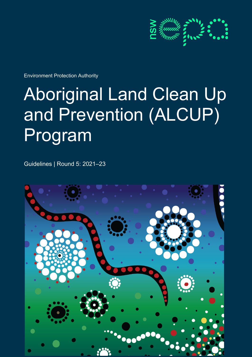

Environment Protection Authority

# Aboriginal Land Clean Up and Prevention (ALCUP) Program

Guidelines | Round 5: 2021–23

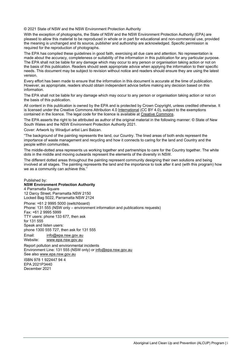© 2021 State of NSW and the NSW Environment Protection Authority

With the exception of photographs, the State of NSW and the NSW Environment Protection Authority (EPA) are pleased to allow this material to be reproduced in whole or in part for educational and non-commercial use, provided the meaning is unchanged and its source, publisher and authorship are acknowledged. Specific permission is required for the reproduction of photographs.

The EPA has compiled these guidelines in good faith, exercising all due care and attention. No representation is made about the accuracy, completeness or suitability of the information in this publication for any particular purpose. The EPA shall not be liable for any damage which may occur to any person or organisation taking action or not on the basis of this publication. Readers should seek appropriate advice when applying the information to their specific needs. This document may be subject to revision without notice and readers should ensure they are using the latest version.

Every effort has been made to ensure that the information in this document is accurate at the time of publication. However, as appropriate, readers should obtain independent advice before making any decision based on this information.

The EPA shall not be liable for any damage which may occur to any person or organisation taking action or not on the basis of this publication.

All content in this publication is owned by the EPA and is protected by Crown Copyright, unless credited otherwise. It is licensed under the Creative Commons Attribution 4.0 [International](http://creativecommons.org/licenses/by/4.0/deed.en) (CC BY 4.0), subject to the exemptions contained in the licence. The legal code for the licence is available at [Creative Commons.](http://creativecommons.org/licenses/by/4.0/legalcode)

The EPA asserts the right to be attributed as author of the original material in the following manner: © State of New South Wales and the NSW Environment Protection Authority 2021.

Cover: Artwork by Wiradjuri artist Lani Balzan.

"The background of the painting represents the land, our Country. The lined areas of both ends represent the importance of waste management and recycling and how it connects to caring for the land and Country and the people within communities.

The middle-dotted area represents us working together and partnerships to care for the Country together. The white dots in the middle and moving outwards represent the elements of the diversity in NSW.

The different dotted areas throughout the painting represent community designing their own solutions and being involved at all stages. The painting represents the land and the importance to look after it and (with this program) how we as a community can achieve this.''

Published by: **NSW Environment Protection Authority** 4 Parramatta Square 12 Darcy Street, Parramatta NSW 2150 Locked Bag 5022, Parramatta NSW 2124 Phone: +61 2 9995 5000 (switchboard) Phone: 131 555 (NSW only – environment information and publications requests) Fax: +61 2 9995 5999 TTY users: phone 133 677, then ask for 131 555 Speak and listen users: phone 1300 555 727, then ask for 131 555 Email: [info@epa.nsw.gov.au](mailto:info@epa.nsw.gov.au) Website: [www.epa.nsw.gov.au](http://www.epa.nsw.gov.au/) Report pollution and environmental incidents

Environment Line: 131 555 (NSW only) or [info@epa.nsw.gov.au](mailto:info@epa.nsw.gov.au) See also [www.epa.nsw.gov.au](http://www.epa.nsw.gov.au/)

ISBN 978 1 922447 94 4

EPA 2021P3440 December 2021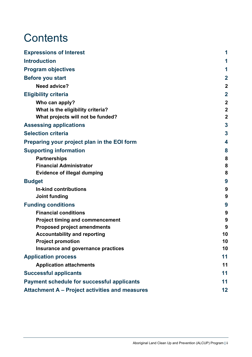# **Contents**

| <b>Expressions of Interest</b>                    |                         |
|---------------------------------------------------|-------------------------|
| <b>Introduction</b>                               |                         |
| <b>Program objectives</b>                         | 1                       |
|                                                   | $\overline{\mathbf{2}}$ |
| <b>Before you start</b>                           |                         |
| <b>Need advice?</b>                               | $\mathbf 2$             |
| <b>Eligibility criteria</b>                       | $\overline{2}$          |
| Who can apply?                                    | $\mathbf 2$             |
| What is the eligibility criteria?                 | $\overline{2}$          |
| What projects will not be funded?                 | $\overline{2}$          |
| <b>Assessing applications</b>                     | 3                       |
| <b>Selection criteria</b>                         | 3                       |
| Preparing your project plan in the EOI form       | 4                       |
| <b>Supporting information</b>                     | 8                       |
| <b>Partnerships</b>                               | 8                       |
| <b>Financial Administrator</b>                    | 8                       |
| <b>Evidence of illegal dumping</b>                | 8                       |
| <b>Budget</b>                                     | 9                       |
| In-kind contributions                             | 9                       |
| Joint funding                                     | 9                       |
| <b>Funding conditions</b>                         | 9                       |
| <b>Financial conditions</b>                       | 9                       |
| <b>Project timing and commencement</b>            | 9                       |
| <b>Proposed project amendments</b>                | 9                       |
| <b>Accountability and reporting</b>               | 10                      |
| <b>Project promotion</b>                          | 10                      |
| Insurance and governance practices                | 10                      |
| <b>Application process</b>                        | 11                      |
| <b>Application attachments</b>                    | 11                      |
| <b>Successful applicants</b>                      | 11                      |
| <b>Payment schedule for successful applicants</b> | 11                      |
| Attachment A - Project activities and measures    | 12                      |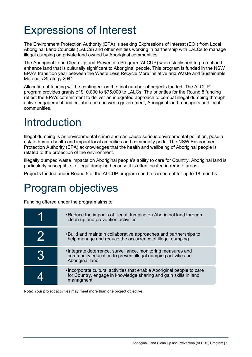# <span id="page-3-0"></span>Expressions of Interest

The Environment Protection Authority (EPA) is seeking Expressions of Interest (EOI) from Local Aboriginal Land Councils (LALCs) and other entities working in partnership with LALCs to manage illegal dumping on private land owned by Aboriginal communities.

The Aboriginal Land Clean Up and Prevention Program (ALCUP) was established to protect and enhance land that is culturally significant to Aboriginal people. This program is funded in the NSW EPA's transition year between the Waste Less Recycle More initiative and Waste and Sustainable Materials Strategy 2041.

Allocation of funding will be contingent on the final number of projects funded. The ALCUP program provides grants of \$10,000 to \$75,000 to LALCs. The priorities for the Round 5 funding reflect the EPA's commitment to deliver an integrated approach to combat illegal dumping through active engagement and collaboration between government, Aboriginal land managers and local communities.

# <span id="page-3-1"></span>Introduction

Illegal dumping is an environmental crime and can cause serious environmental pollution, pose a risk to human health and impact local amenities and community pride. The NSW Environment Protection Authority (EPA) acknowledges that the health and wellbeing of Aboriginal people is related to the protection of the environment.

Illegally dumped waste impacts on Aboriginal people's ability to care for Country. Aboriginal land is particularly susceptible to illegal dumping because it is often located in remote areas.

Projects funded under Round 5 of the ALCUP program can be carried out for up to 18 months.

### <span id="page-3-2"></span>Program objectives

Funding offered under the program aims to:

|    | • Reduce the impacts of illegal dumping on Aboriginal land through<br>clean up and prevention activities                                                 |
|----|----------------------------------------------------------------------------------------------------------------------------------------------------------|
|    | . Build and maintain collaborative approaches and partnerships to<br>help manage and reduce the occurrence of illegal dumping                            |
| 16 | . Integrate deterrence, surveillance, monitoring measures and<br>community education to prevent illegal dumping activities on<br>Aboriginal land         |
|    | . Incorporate cultural activities that enable Aboriginal people to care<br>for Country, engage in knowledge sharing and gain skills in land<br>managment |

Note: Your project activities may meet more than one project objective.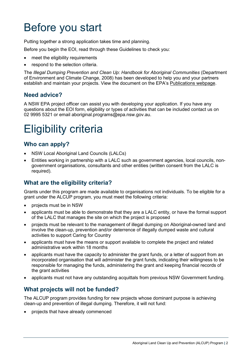# <span id="page-4-0"></span>Before you start

Putting together a strong application takes time and planning.

Before you begin the EOI, read through these Guidelines to check you:

- meet the eligibility requirements
- respond to the selection criteria.

The *Illegal Dumping Prevention and Clean Up: Handbook for Aboriginal Communities* (Department of Environment and Climate Change, 2008) has been developed to help you and your partners establish and maintain your projects. View the document on the EPA's [Publications webpage.](https://www.epa.nsw.gov.au/publications/illegaldumping/080425-aboriginal-communities)

### <span id="page-4-1"></span>**Need advice?**

A NSW EPA project officer can assist you with developing your application. If you have any questions about the EOI form, eligibility or types of activities that can be included contact us on 02 9995 5321 or email aboriginal.programs@epa.nsw.gov.au.

# <span id="page-4-2"></span>Eligibility criteria

### <span id="page-4-3"></span>**Who can apply?**

- NSW Local Aboriginal Land Councils (LALCs)
- Entities working in partnership with a LALC such as government agencies, local councils, nongovernment organisations, consultants and other entities (written consent from the LALC is required).

### <span id="page-4-4"></span>**What are the eligibility criteria?**

Grants under this program are made available to organisations not individuals. To be eligible for a grant under the ALCUP program, you must meet the following criteria:

- projects must be in NSW
- applicants must be able to demonstrate that they are a LALC entity, or have the formal support of the LALC that manages the site on which the project is proposed
- projects must be relevant to the management of illegal dumping on Aboriginal-owned land and involve the clean-up, prevention and/or deterrence of illegally dumped waste and cultural activities to support Caring for Country
- applicants must have the means or support available to complete the project and related administrative work within 18 months
- applicants must have the capacity to administer the grant funds, or a letter of support from an incorporated organisation that will administer the grant funds, indicating their willingness to be responsible for managing the funds, administering the grant and keeping financial records of the grant activities
- applicants must not have any outstanding acquittals from previous NSW Government funding.

### <span id="page-4-5"></span>**What projects will not be funded?**

The ALCUP program provides funding for new projects whose dominant purpose is achieving clean-up and prevention of illegal dumping. Therefore, it will not fund:

• projects that have already commenced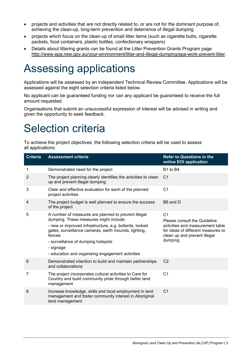- projects and activities that are not directly related to, or are not for the dominant purpose of, achieving the clean-up, long-term prevention and deterrence of illegal dumping
- projects which focus on the clean-up of small litter items (such as cigarette butts, cigarette packets, food containers, plastic bottles, confectionary wrappers)
- Details about littering grants can be found at the Litter Prevention Grants Program page [http://www.epa.nsw.gov.au/your-environment/litter-and-illegal-dumping/epa-work-prevent-litter.](http://www.epa.nsw.gov.au/your-environment/litter-and-illegal-dumping/epa-work-prevent-litter)

### <span id="page-5-0"></span>Assessing applications

Applications will be assessed by an independent Technical Review Committee. Applications will be assessed against the eight selection criteria listed below.

No applicant can be guaranteed funding nor can any applicant be guaranteed to receive the full amount requested.

Organisations that submit an unsuccessful expression of interest will be advised in writing and given the opportunity to seek feedback.

# <span id="page-5-1"></span>Selection criteria

To achieve the project objectives, the following selection criteria will be used to assess all applications:

| <b>Criteria</b> | <b>Assessment criteria</b>                                                                                                                                                                                                                                                                                                        | <b>Refer to Questions in the</b><br>online EOI application                                                                                                          |
|-----------------|-----------------------------------------------------------------------------------------------------------------------------------------------------------------------------------------------------------------------------------------------------------------------------------------------------------------------------------|---------------------------------------------------------------------------------------------------------------------------------------------------------------------|
| 1               | Demonstrated need for the project                                                                                                                                                                                                                                                                                                 | B1 to B4                                                                                                                                                            |
| 2               | The project planning clearly identifies the activities to clean<br>up and prevent illegal dumping                                                                                                                                                                                                                                 | C <sub>1</sub>                                                                                                                                                      |
| 3               | Clear and effective evaluation for each of the planned<br>project activities                                                                                                                                                                                                                                                      | C <sub>1</sub>                                                                                                                                                      |
| 4               | The project budget is well planned to ensure the success<br>of the project                                                                                                                                                                                                                                                        | B6 and D                                                                                                                                                            |
| 5               | A number of measures are planned to prevent illegal<br>dumping. These measures might include:<br>- new or improved infrastructure, e.g. bollards, locked<br>gates, surveillance cameras, earth mounds, lighting,<br>fences<br>- surveillance of dumping hotspots<br>- signage<br>- education and organising engagement activities | C <sub>1</sub><br>Please consult the Guideline<br>activities and measurement table<br>for ideas of different measures to<br>clean up and prevent illegal<br>dumping |
| 6               | Demonstrated intention to build and maintain partnerships<br>and collaborations                                                                                                                                                                                                                                                   | C <sub>2</sub>                                                                                                                                                      |
| 7               | The project incorporates cultural activities to Care for<br>Country and build community pride through better land<br>management                                                                                                                                                                                                   | C <sub>1</sub>                                                                                                                                                      |
| 8               | Increase knowledge, skills and local employment in land<br>management and foster community interest in Aboriginal<br>land management                                                                                                                                                                                              | C <sub>1</sub>                                                                                                                                                      |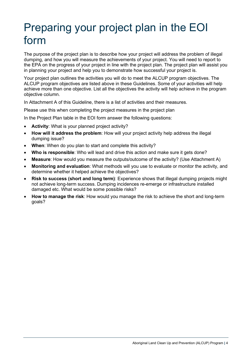# <span id="page-6-0"></span>Preparing your project plan in the EOI form

The purpose of the project plan is to describe how your project will address the problem of illegal dumping, and how you will measure the achievements of your project. You will need to report to the EPA on the progress of your project in line with the project plan. The project plan will assist you in planning your project and help you to demonstrate how successful your project is.

Your project plan outlines the activities you will do to meet the ALCUP program objectives. The ALCUP program objectives are listed above in these Guidelines. Some of your activities will help achieve more than one objective. List all the objectives the activity will help achieve in the program objective column.

In Attachment A of this Guideline, there is a list of activities and their measures.

Please use this when completing the project measures in the project plan

In the Project Plan table in the EOI form answer the following questions:

- **Activity**: What is your planned project activity?
- **How will it address the problem**: How will your project activity help address the illegal dumping issue?
- **When**: When do you plan to start and complete this activity?
- **Who is responsible**: Who will lead and drive this action and make sure it gets done?
- **Measure**: How would you measure the outputs/outcome of the activity? (Use Attachment A)
- **Monitoring and evaluation**: What methods will you use to evaluate or monitor the activity, and determine whether it helped achieve the objectives?
- **Risk to success (short and long term)**: Experience shows that illegal dumping projects might not achieve long-term success. Dumping incidences re-emerge or infrastructure installed damaged etc. What would be some possible risks?
- **How to manage the risk**: How would you manage the risk to achieve the short and long-term goals?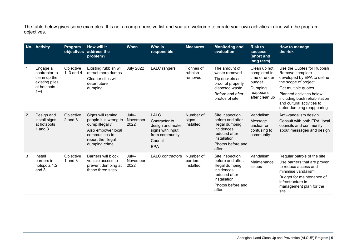The table below gives some examples. It is not a comprehensive list and you are welcome to create your own activities in line with the program objectives.

|   | No. Activity                                                                          | Program<br>objectives       | How will it<br>address the<br>problem?                                                                                                      | <b>When</b>                 | Who is<br>responsible                                                                                          | <b>Measures</b>                    | <b>Monitoring and</b><br>evaluation                                                                                                  | <b>Risk to</b><br><b>SUCCESS</b><br>(short and<br>long term)                                      | How to manage<br>the risk                                                                                                                                                                                                                           |
|---|---------------------------------------------------------------------------------------|-----------------------------|---------------------------------------------------------------------------------------------------------------------------------------------|-----------------------------|----------------------------------------------------------------------------------------------------------------|------------------------------------|--------------------------------------------------------------------------------------------------------------------------------------|---------------------------------------------------------------------------------------------------|-----------------------------------------------------------------------------------------------------------------------------------------------------------------------------------------------------------------------------------------------------|
|   | Engage a<br>contractor to<br>clean up the<br>existing piles<br>at hotspots<br>$1 - 4$ | Objective<br>1, $3$ and $4$ | Existing rubbish will<br>attract more dumps<br>Cleaner sites will<br>deter future<br>dumping                                                | <b>July 2022</b>            | <b>LALC</b> rangers                                                                                            | Tonnes of<br>rubbish<br>removed    | The amount of<br>waste removed<br>Tip dockets as<br>proof of properly<br>disposed waste<br>Before and after<br>photos of site        | Clean up not<br>completed in<br>time or under<br>budget<br>Dumping<br>reappears<br>after clean up | Use the Quotes for Rubbish<br>Removal template<br>developed by EPA to define<br>the scope of project<br>Get multiple quotes<br>Planned activities below<br>including bush rehabilitation<br>and cultural activities to<br>deter dumping reappearing |
| 2 | Design and<br>install signs<br>at hotspots<br>$1$ and $3$                             | Objective<br>$2$ and $3$    | Signs will remind<br>people it is wrong to<br>dump illegally<br>Also empower local<br>communities to<br>report the illegal<br>dumping crime | $July-$<br>November<br>2022 | <b>LALC</b><br>Contractor to<br>design and make<br>signs with input<br>from community<br>Council<br><b>EPA</b> | Number of<br>signs<br>installed    | Site inspection<br>before and after<br>illegal dumping<br>incidences<br>reduced after<br>installation<br>Photos before and<br>after  | Vandalism<br>Message<br>unclear or<br>confusing to<br>community                                   | Anti-vandalism design<br>Consult with both EPA, local<br>councils and community<br>about messages and design                                                                                                                                        |
| 3 | Install<br>barriers in<br>hotspots 1,2<br>and 3                                       | Objective<br>1 and $3$      | Barriers will block<br>vehicle access to<br>prevent dumping at<br>these three sites                                                         | July-<br>November<br>2022   | <b>LALC</b> contractors                                                                                        | Number of<br>barriers<br>installed | Site inspection<br>before and after:<br>illegal dumping<br>incidences<br>reduced after<br>installation<br>Photos before and<br>after | Vandalism<br>Maintenance<br>issues                                                                | Regular patrols of the site<br>Use barriers that are proven<br>to reduce access and<br>minimise vandalism<br>Budget for maintenance of<br>infrastructure in<br>management plan for the<br>site                                                      |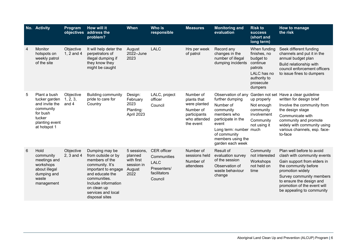|   | No. Activity                                                                                                         | Program                        | How will it<br>objectives address the<br>problem?                                                                                                                                                                 | <b>When</b>                                                          | Who is<br>responsible                                                               | <b>Measures</b>                                                                                    | <b>Monitoring and</b><br>evaluation                                                                                                                                                              | <b>Risk to</b><br><b>SUCCESS</b><br>(short and<br>long term)                                                            | How to manage<br>the risk                                                                                                                                                                                                                               |
|---|----------------------------------------------------------------------------------------------------------------------|--------------------------------|-------------------------------------------------------------------------------------------------------------------------------------------------------------------------------------------------------------------|----------------------------------------------------------------------|-------------------------------------------------------------------------------------|----------------------------------------------------------------------------------------------------|--------------------------------------------------------------------------------------------------------------------------------------------------------------------------------------------------|-------------------------------------------------------------------------------------------------------------------------|---------------------------------------------------------------------------------------------------------------------------------------------------------------------------------------------------------------------------------------------------------|
| 4 | Monitor<br>hotspots on<br>weekly patrol<br>of the site                                                               | Objective<br>1, 2 and 4        | It will help deter the<br>perpetrators of<br>illegal dumping if<br>they know they<br>might be caught                                                                                                              | August<br>2022-June<br>2023                                          | <b>LALC</b>                                                                         | Hrs per week<br>of patrol                                                                          | Record any<br>changes in the<br>number of illegal<br>dumping incidents                                                                                                                           | When funding<br>finishes, no<br>budget to<br>continue<br>patrols<br>LALC has no<br>authority to<br>prosecute<br>dumpers | Seek different funding<br>channels and put it in the<br>annual budget plan<br>Build relationship with<br>council enforcement officers<br>to issue fines to dumpers                                                                                      |
| 5 | Plant a bush<br>tucker garden<br>and invite the<br>community<br>for bush<br>tucker<br>planting event<br>at hotspot 1 | Objective<br>1, 2, 3,<br>and 4 | <b>Building community</b><br>pride to care for<br>Country                                                                                                                                                         | Design:<br>February<br>2023<br>Planting:<br>April 2023               | LALC, project<br>officer<br>Council                                                 | Number of<br>plants that<br>were planted<br>Number of<br>participants<br>who attended<br>the event | Observation of any<br>further dumping<br>Number of<br>community<br>members who<br>participate in the<br>event<br>Long term: number much<br>of community<br>members using the<br>garden each week | up properly<br>Not enough<br>community<br>involvement<br>Community<br>not using it                                      | Garden not set Have a clear guideline<br>written for design brief<br>Involve the community from<br>the design stage<br>Communicate with<br>community and promote<br>widely with community using<br>various channels, esp. face-<br>to-face              |
| 6 | Hold<br>community<br>meetings and<br>workshops<br>about illegal<br>dumping and<br>waste<br>management                | Objective<br>2, 3 and 4        | Dumping may be<br>from outside or by<br>members of the<br>community. It's<br>important to engage<br>and educate the<br>communities.<br>Include information<br>on clean up<br>services and local<br>disposal sites | 5 sessions.<br>planned<br>with first<br>session in<br>August<br>2022 | CER officer<br>Communities<br><b>LALC</b><br>Presenters/<br>facilitators<br>Council | Number of<br>sessions held<br>Number of<br>attendees                                               | Result of<br>evaluation survey<br>of the session<br>Observation of<br>waste behaviour<br>change                                                                                                  | Community<br>not interested<br>Workshops<br>not held on<br>time                                                         | Plan well before to avoid<br>clash with community events<br>Gain support from elders in<br>the community before<br>promotion widely<br>Survey community members<br>to ensure the design and<br>promotion of the event will<br>be appealing to community |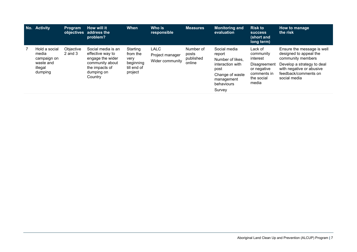| No. | <b>Activity</b>                                                          | <b>Program</b>           | How will it<br>objectives address the<br>problem?                                                                        | <b>When</b>                                                         | Who is<br>responsible                             | <b>Measures</b>                           | Monitoring and<br>evaluation                                                                                                    | <b>Risk to</b><br><b>SUCCESS</b><br>(short and<br>long term)                                          | How to manage<br>the risk                                                                                                                                                   |
|-----|--------------------------------------------------------------------------|--------------------------|--------------------------------------------------------------------------------------------------------------------------|---------------------------------------------------------------------|---------------------------------------------------|-------------------------------------------|---------------------------------------------------------------------------------------------------------------------------------|-------------------------------------------------------------------------------------------------------|-----------------------------------------------------------------------------------------------------------------------------------------------------------------------------|
|     | Hold a social<br>media<br>campaign on<br>waste and<br>illegal<br>dumping | Objective<br>$2$ and $3$ | Social media is an<br>effective way to<br>engage the wider<br>community about<br>the impacts of<br>dumping on<br>Country | Starting<br>from the<br>very<br>beginning<br>till end of<br>project | <b>LALC</b><br>Project manager<br>Wider community | Number of<br>posts<br>published<br>online | Social media<br>report<br>Number of likes.<br>interaction with<br>post<br>Change of waste<br>management<br>behaviours<br>Survey | Lack of<br>community<br>interest<br>Disagreement<br>or negative<br>comments in<br>the social<br>media | Ensure the message is well<br>designed to appeal the<br>community members<br>Develop a strategy to deal<br>with negative or abusive<br>feedback/comments on<br>social media |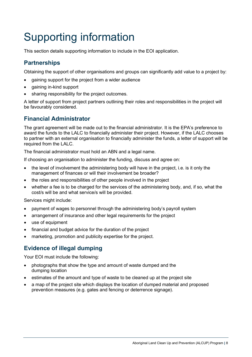# <span id="page-10-0"></span>Supporting information

This section details supporting information to include in the EOI application.

### <span id="page-10-1"></span>**Partnerships**

Obtaining the support of other organisations and groups can significantly add value to a project by:

- gaining support for the project from a wider audience
- gaining in-kind support
- sharing responsibility for the project outcomes.

A letter of support from project partners outlining their roles and responsibilities in the project will be favourably considered.

### <span id="page-10-2"></span>**Financial Administrator**

The grant agreement will be made out to the financial administrator. It is the EPA's preference to award the funds to the LALC to financially administer their project. However, if the LALC chooses to partner with an external organisation to financially administer the funds, a letter of support will be required from the LALC.

The financial administrator must hold an ABN and a legal name.

If choosing an organisation to administer the funding, discuss and agree on:

- the level of involvement the administering body will have in the project, i.e. is it only the management of finances or will their involvement be broader?
- the roles and responsibilities of other people involved in the project
- whether a fee is to be charged for the services of the administering body, and, if so, what the cost/s will be and what service/s will be provided.

Services might include:

- payment of wages to personnel through the administering body's payroll system
- arrangement of insurance and other legal requirements for the project
- use of equipment
- financial and budget advice for the duration of the project
- marketing, promotion and publicity expertise for the project.

### <span id="page-10-3"></span>**Evidence of illegal dumping**

Your EOI must include the following:

- photographs that show the type and amount of waste dumped and the dumping location
- estimates of the amount and type of waste to be cleaned up at the project site
- a map of the project site which displays the location of dumped material and proposed prevention measures (e.g. gates and fencing or deterrence signage).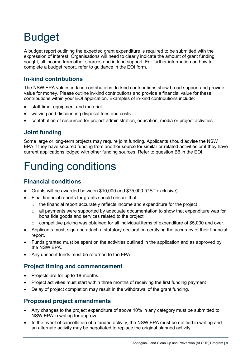# <span id="page-11-0"></span>Budget

A budget report outlining the expected grant expenditure is required to be submitted with the expression of interest. Organisations will need to clearly indicate the amount of grant funding sought, all income from other sources and in-kind support. For further information on how to complete a budget report, refer to guidance in the EOI form.

### <span id="page-11-1"></span>**In-kind contributions**

The NSW EPA values in-kind contributions. In-kind contributions show broad support and provide value for money. Please outline in-kind contributions and provide a financial value for these contributions within your EOI application. Examples of in-kind contributions include:

- staff time, equipment and material
- waiving and discounting disposal fees and costs
- contribution of resources for project administration, education, media or project activities.

### <span id="page-11-2"></span>**Joint funding**

Some large or long-term projects may require joint funding. Applicants should advise the NSW EPA if they have secured funding from another source for similar or related activities or if they have current applications lodged with other funding sources. Refer to question B6 in the EOI.

# <span id="page-11-3"></span>Funding conditions

### <span id="page-11-4"></span>**Financial conditions**

- Grants will be awarded between \$10,000 and \$75,000 (GST exclusive).
- Final financial reports for grants should ensure that:
	- $\circ$  the financial report accurately reflects income and expenditure for the project
	- $\circ$  all payments were supported by adequate documentation to show that expenditure was for bona fide goods and services related to the project
	- $\circ$  competitive pricing was obtained for all individual items of expenditure of \$5,000 and over.
- Applicants must, sign and attach a statutory declaration certifying the accuracy of their financial report.
- Funds granted must be spent on the activities outlined in the application and as approved by the NSW EPA.
- Any unspent funds must be returned to the EPA.

### <span id="page-11-5"></span>**Project timing and commencement**

- Projects are for up to 18-months.
- Project activities must start within three months of receiving the first funding payment
- Delay of project completion may result in the withdrawal of the grant funding.

#### <span id="page-11-6"></span>**Proposed project amendments**

- Any changes to the project expenditure of above 10% in any category must be submitted to NSW EPA in writing for approval.
- In the event of cancellation of a funded activity, the NSW EPA must be notified in writing and an alternate activity may be negotiated to replace the original planned activity.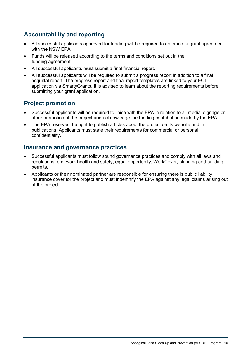### <span id="page-12-0"></span>**Accountability and reporting**

- All successful applicants approved for funding will be required to enter into a grant agreement with the NSW EPA.
- Funds will be released according to the terms and conditions set out in the funding agreement.
- All successful applicants must submit a final financial report.
- All successful applicants will be required to submit a progress report in addition to a final acquittal report. The progress report and final report templates are linked to your EOI application via SmartyGrants. It is advised to learn about the reporting requirements before submitting your grant application.

### <span id="page-12-1"></span>**Project promotion**

- Successful applicants will be required to liaise with the EPA in relation to all media, signage or other promotion of the project and acknowledge the funding contribution made by the EPA.
- The EPA reserves the right to publish articles about the project on its website and in publications. Applicants must state their requirements for commercial or personal confidentiality.

#### <span id="page-12-2"></span>**Insurance and governance practices**

- Successful applicants must follow sound governance practices and comply with all laws and regulations, e.g. work health and safety, equal opportunity, WorkCover, planning and building permits.
- Applicants or their nominated partner are responsible for ensuring there is public liability insurance cover for the project and must indemnify the EPA against any legal claims arising out of the project.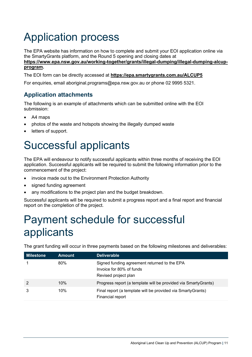# <span id="page-13-0"></span>Application process

The EPA website has information on how to complete and submit your EOI application online via the SmartyGrants platform, and the Round 5 opening and closing dates at **[https://www.epa.nsw.gov.au/working-together/grants/illegal-dumping/illegal-dumping-alcup](https://www.epa.nsw.gov.au/working-together/grants/illegal-dumping/illegal-dumping-alcup-program)[program.](https://www.epa.nsw.gov.au/working-together/grants/illegal-dumping/illegal-dumping-alcup-program)**

The EOI form can be directly accessed at **<https://epa.smartygrants.com.au/ALCUP5>**

For enquiries, email [aboriginal.programs@epa.nsw.gov.au](mailto:aboriginal.programs@epa.nsw.gov.au) or phone 02 9995 5321.

### <span id="page-13-1"></span>**Application attachments**

The following is an example of attachments which can be submitted online with the EOI submission:

- A4 maps
- photos of the waste and hotspots showing the illegally dumped waste
- letters of support.

### <span id="page-13-2"></span>Successful applicants

The EPA will endeavour to notify successful applicants within three months of receiving the EOI application. Successful applicants will be required to submit the following information prior to the commencement of the project:

- invoice made out to the Environment Protection Authority
- signed funding agreement
- any modifications to the project plan and the budget breakdown.

Successful applicants will be required to submit a progress report and a final report and financial report on the completion of the project.

# <span id="page-13-3"></span>Payment schedule for successful applicants

The grant funding will occur in three payments based on the following milestones and deliverables:

| <b>Milestone</b> | Amount | <b>Deliverable</b>                                                                               |
|------------------|--------|--------------------------------------------------------------------------------------------------|
|                  | 80%    | Signed funding agreement returned to the EPA<br>Invoice for 80% of funds<br>Revised project plan |
|                  | 10%    | Progress report (a template will be provided via SmartyGrants)                                   |
| 3                | 10%    | Final report (a template will be provided via SmartyGrants)<br>Financial report                  |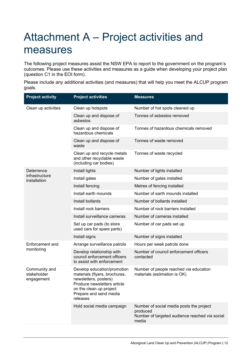# <span id="page-14-0"></span>Attachment A – Project activities and measures

The following project measures assist the NSW EPA to report to the government on the program's outcomes. Please use these activities and measures as a guide when developing your project plan (question C1 in the EOI form).

Please include any additional activities (and measures) that will help you meet the ALCUP program goals.

| <b>Project activity</b>                    | <b>Project activities</b>                                                                                                                                                             | <b>Measures</b>                                                                                                 |
|--------------------------------------------|---------------------------------------------------------------------------------------------------------------------------------------------------------------------------------------|-----------------------------------------------------------------------------------------------------------------|
| Clean up activities                        | Clean up hotspots                                                                                                                                                                     | Number of hot spots cleaned up                                                                                  |
|                                            | Clean up and dispose of<br>asbestos                                                                                                                                                   | Tonnes of asbestos removed                                                                                      |
|                                            | Clean up and dispose of<br>hazardous chemicals                                                                                                                                        | Tonnes of hazardous chemicals removed                                                                           |
|                                            | Clean up and dispose of<br>waste                                                                                                                                                      | Tonnes of waste removed                                                                                         |
|                                            | Clean up and recycle metals<br>and other recyclable waste<br>(including car bodies)                                                                                                   | Tonnes of waste recycled                                                                                        |
| Deterrence                                 | Install lights                                                                                                                                                                        | Number of lights installed                                                                                      |
| infrastructure<br>installation             | Install gates                                                                                                                                                                         | Number of gates installed                                                                                       |
|                                            | Install fencing                                                                                                                                                                       | Metres of fencing installed                                                                                     |
|                                            | Install earth mounds                                                                                                                                                                  | Number of earth mounds installed                                                                                |
|                                            | Install bollards                                                                                                                                                                      | Number of bollards installed                                                                                    |
|                                            | Install rock barriers                                                                                                                                                                 | Number of rock barriers installed                                                                               |
|                                            | Install surveillance cameras                                                                                                                                                          | Number of cameras installed                                                                                     |
|                                            | Set up car pads (to store<br>used cars for spare parts)                                                                                                                               | Number of car pads set up                                                                                       |
|                                            | Install signs                                                                                                                                                                         | Number of signs installed                                                                                       |
| Enforcement and                            | Arrange surveillance patrols                                                                                                                                                          | Hours per week patrols done                                                                                     |
| monitoring                                 | Develop relationship with<br>council enforcement officers<br>to assist with enforcement                                                                                               | Number of council enforcement officers<br>contacted                                                             |
| Community and<br>stakeholder<br>engagement | Develop education/promotion<br>materials (flyers, brochures,<br>newsletters, posters)<br>Produce newsletters article<br>on the clean up project<br>Prepare and send media<br>releases | Number of people reached via education<br>materials (estimation is OK)                                          |
|                                            | Hold social media campaign                                                                                                                                                            | Number of social media posts the project<br>produced<br>Number of targeted audience reached via social<br>media |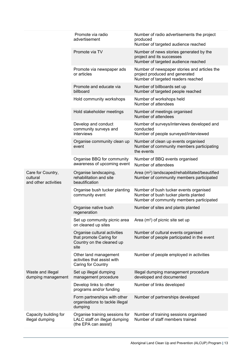|                                                       | Promote via radio<br>advertisement                                                           | Number of radio advertisements the project<br>produced<br>Number of targeted audience reached                              |
|-------------------------------------------------------|----------------------------------------------------------------------------------------------|----------------------------------------------------------------------------------------------------------------------------|
|                                                       | Promote via TV                                                                               | Number of news stories generated by the<br>project and its successes<br>Number of targeted audience reached                |
|                                                       | Promote via newspaper ads<br>or articles                                                     | Number of newspaper stories and articles the<br>project produced and generated<br>Number of targeted readers reached       |
|                                                       | Promote and educate via<br>billboard                                                         | Number of billboards set up<br>Number of targeted people reached                                                           |
|                                                       | Hold community workshops                                                                     | Number of workshops held<br>Number of attendees                                                                            |
|                                                       | Hold stakeholder meetings                                                                    | Number of meetings organised<br>Number of attendees                                                                        |
|                                                       | Develop and conduct<br>community surveys and<br>interviews                                   | Number of surveys/interviews developed and<br>conducted<br>Number of people surveyed/interviewed                           |
|                                                       | Organise community clean up<br>event                                                         | Number of clean up events organised<br>Number of community members participating<br>the events                             |
|                                                       | Organise BBQ for community<br>awareness of upcoming event                                    | Number of BBQ events organised<br>Number of attendees                                                                      |
| Care for Country,<br>cultural<br>and other activities | Organise landscaping,<br>rehabilitation and site<br>beautification                           | Area (m <sup>2</sup> ) landscaped/rehabilitated/beautified<br>Number of community members participated                     |
|                                                       | Organise bush tucker planting<br>community event                                             | Number of bush tucker events organised<br>Number of bush tucker plants planted<br>Number of community members participated |
|                                                       | Organise native bush<br>regeneration                                                         | Number of sites and plants planted                                                                                         |
|                                                       | Set up community picnic area Area $(m2)$ of picnic site set up<br>on cleaned up sites        |                                                                                                                            |
|                                                       | Organise cultural activities<br>that promote Caring for<br>Country on the cleaned up<br>site | Number of cultural events organised<br>Number of people participated in the event                                          |
|                                                       | Other land management<br>activities that assist with<br>Caring for Country                   | Number of people employed in activities                                                                                    |
| Waste and illegal<br>dumping management               | Set up illegal dumping<br>management procedure                                               | Illegal dumping management procedure<br>developed and documented                                                           |
|                                                       | Develop links to other<br>programs and/or funding                                            | Number of links developed                                                                                                  |
|                                                       | Form partnerships with other<br>organisations to tackle illegal<br>dumping                   | Number of partnerships developed                                                                                           |
| Capacity building for<br>illegal dumping              | Organise training sessions for<br>LALC staff on illegal dumping<br>(the EPA can assist)      | Number of training sessions organised<br>Number of staff members trained                                                   |